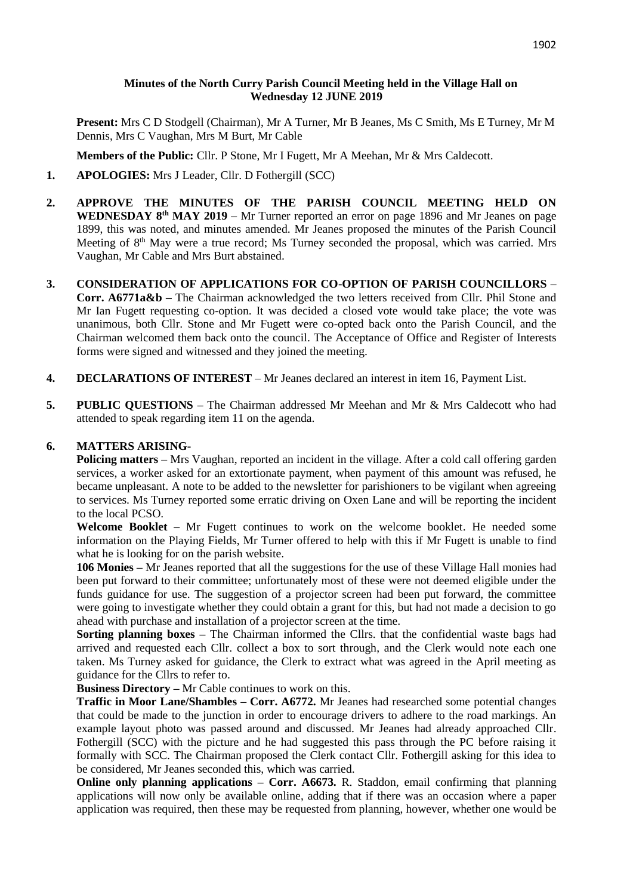#### **Minutes of the North Curry Parish Council Meeting held in the Village Hall on Wednesday 12 JUNE 2019**

**Present:** Mrs C D Stodgell (Chairman), Mr A Turner, Mr B Jeanes, Ms C Smith, Ms E Turney, Mr M Dennis, Mrs C Vaughan, Mrs M Burt, Mr Cable

**Members of the Public:** Cllr. P Stone, Mr I Fugett, Mr A Meehan, Mr & Mrs Caldecott.

- **1. APOLOGIES:** Mrs J Leader, Cllr. D Fothergill (SCC)
- **2. APPROVE THE MINUTES OF THE PARISH COUNCIL MEETING HELD ON**  WEDNESDAY 8<sup>th</sup> MAY 2019 – Mr Turner reported an error on page 1896 and Mr Jeanes on page 1899, this was noted, and minutes amended. Mr Jeanes proposed the minutes of the Parish Council Meeting of 8<sup>th</sup> May were a true record; Ms Turney seconded the proposal, which was carried. Mrs Vaughan, Mr Cable and Mrs Burt abstained.
- **3. CONSIDERATION OF APPLICATIONS FOR CO-OPTION OF PARISH COUNCILLORS – Corr. A6771a&b –** The Chairman acknowledged the two letters received from Cllr. Phil Stone and Mr Ian Fugett requesting co-option. It was decided a closed vote would take place; the vote was unanimous, both Cllr. Stone and Mr Fugett were co-opted back onto the Parish Council, and the Chairman welcomed them back onto the council. The Acceptance of Office and Register of Interests forms were signed and witnessed and they joined the meeting.
- **4. DECLARATIONS OF INTEREST** Mr Jeanes declared an interest in item 16, Payment List.
- **5. PUBLIC QUESTIONS –** The Chairman addressed Mr Meehan and Mr & Mrs Caldecott who had attended to speak regarding item 11 on the agenda.

### **6. MATTERS ARISING-**

**Policing matters** – Mrs Vaughan, reported an incident in the village. After a cold call offering garden services, a worker asked for an extortionate payment, when payment of this amount was refused, he became unpleasant. A note to be added to the newsletter for parishioners to be vigilant when agreeing to services. Ms Turney reported some erratic driving on Oxen Lane and will be reporting the incident to the local PCSO.

**Welcome Booklet –** Mr Fugett continues to work on the welcome booklet. He needed some information on the Playing Fields, Mr Turner offered to help with this if Mr Fugett is unable to find what he is looking for on the parish website.

**106 Monies –** Mr Jeanes reported that all the suggestions for the use of these Village Hall monies had been put forward to their committee; unfortunately most of these were not deemed eligible under the funds guidance for use. The suggestion of a projector screen had been put forward, the committee were going to investigate whether they could obtain a grant for this, but had not made a decision to go ahead with purchase and installation of a projector screen at the time.

**Sorting planning boxes –** The Chairman informed the Cllrs. that the confidential waste bags had arrived and requested each Cllr. collect a box to sort through, and the Clerk would note each one taken. Ms Turney asked for guidance, the Clerk to extract what was agreed in the April meeting as guidance for the Cllrs to refer to.

**Business Directory –** Mr Cable continues to work on this.

**Traffic in Moor Lane/Shambles – Corr. A6772.** Mr Jeanes had researched some potential changes that could be made to the junction in order to encourage drivers to adhere to the road markings. An example layout photo was passed around and discussed. Mr Jeanes had already approached Cllr. Fothergill (SCC) with the picture and he had suggested this pass through the PC before raising it formally with SCC. The Chairman proposed the Clerk contact Cllr. Fothergill asking for this idea to be considered, Mr Jeanes seconded this, which was carried.

**Online only planning applications – Corr. A6673.** R. Staddon, email confirming that planning applications will now only be available online, adding that if there was an occasion where a paper application was required, then these may be requested from planning, however, whether one would be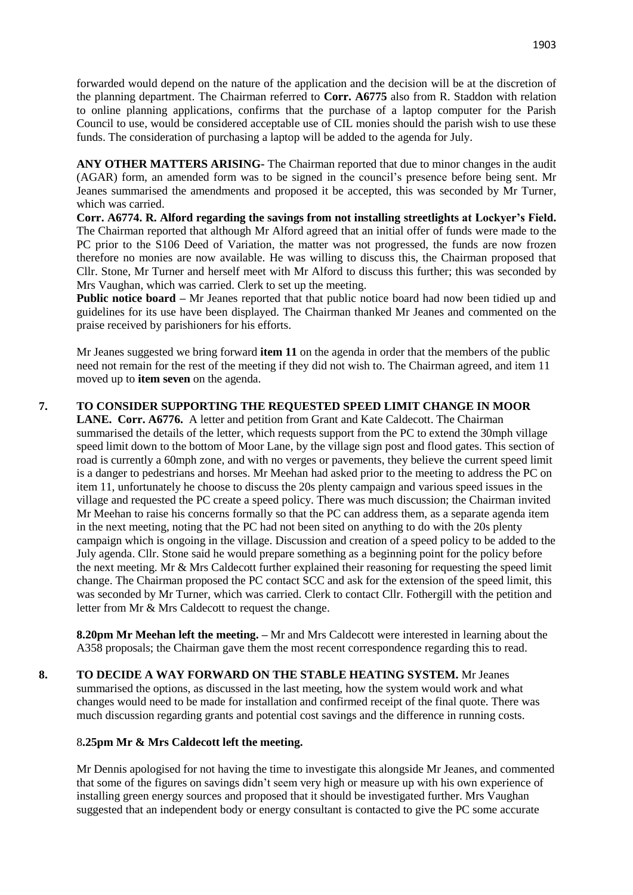forwarded would depend on the nature of the application and the decision will be at the discretion of the planning department. The Chairman referred to **Corr. A6775** also from R. Staddon with relation to online planning applications, confirms that the purchase of a laptop computer for the Parish Council to use, would be considered acceptable use of CIL monies should the parish wish to use these funds. The consideration of purchasing a laptop will be added to the agenda for July.

**ANY OTHER MATTERS ARISING-** The Chairman reported that due to minor changes in the audit (AGAR) form, an amended form was to be signed in the council's presence before being sent. Mr Jeanes summarised the amendments and proposed it be accepted, this was seconded by Mr Turner, which was carried.

**Corr. A6774. R. Alford regarding the savings from not installing streetlights at Lockyer's Field.**  The Chairman reported that although Mr Alford agreed that an initial offer of funds were made to the PC prior to the S106 Deed of Variation, the matter was not progressed, the funds are now frozen therefore no monies are now available. He was willing to discuss this, the Chairman proposed that Cllr. Stone, Mr Turner and herself meet with Mr Alford to discuss this further; this was seconded by Mrs Vaughan, which was carried. Clerk to set up the meeting.

**Public notice board –** Mr Jeanes reported that that public notice board had now been tidied up and guidelines for its use have been displayed. The Chairman thanked Mr Jeanes and commented on the praise received by parishioners for his efforts.

Mr Jeanes suggested we bring forward **item 11** on the agenda in order that the members of the public need not remain for the rest of the meeting if they did not wish to. The Chairman agreed, and item 11 moved up to **item seven** on the agenda.

## **7. TO CONSIDER SUPPORTING THE REQUESTED SPEED LIMIT CHANGE IN MOOR**

**LANE. Corr. A6776.** A letter and petition from Grant and Kate Caldecott. The Chairman summarised the details of the letter, which requests support from the PC to extend the 30mph village speed limit down to the bottom of Moor Lane, by the village sign post and flood gates. This section of road is currently a 60mph zone, and with no verges or pavements, they believe the current speed limit is a danger to pedestrians and horses. Mr Meehan had asked prior to the meeting to address the PC on item 11, unfortunately he choose to discuss the 20s plenty campaign and various speed issues in the village and requested the PC create a speed policy. There was much discussion; the Chairman invited Mr Meehan to raise his concerns formally so that the PC can address them, as a separate agenda item in the next meeting, noting that the PC had not been sited on anything to do with the 20s plenty campaign which is ongoing in the village. Discussion and creation of a speed policy to be added to the July agenda. Cllr. Stone said he would prepare something as a beginning point for the policy before the next meeting. Mr & Mrs Caldecott further explained their reasoning for requesting the speed limit change. The Chairman proposed the PC contact SCC and ask for the extension of the speed limit, this was seconded by Mr Turner, which was carried. Clerk to contact Cllr. Fothergill with the petition and letter from Mr & Mrs Caldecott to request the change.

**8.20pm Mr Meehan left the meeting. –** Mr and Mrs Caldecott were interested in learning about the A358 proposals; the Chairman gave them the most recent correspondence regarding this to read.

**8. TO DECIDE A WAY FORWARD ON THE STABLE HEATING SYSTEM.** Mr Jeanes summarised the options, as discussed in the last meeting, how the system would work and what changes would need to be made for installation and confirmed receipt of the final quote. There was much discussion regarding grants and potential cost savings and the difference in running costs.

### 8**.25pm Mr & Mrs Caldecott left the meeting.**

Mr Dennis apologised for not having the time to investigate this alongside Mr Jeanes, and commented that some of the figures on savings didn't seem very high or measure up with his own experience of installing green energy sources and proposed that it should be investigated further. Mrs Vaughan suggested that an independent body or energy consultant is contacted to give the PC some accurate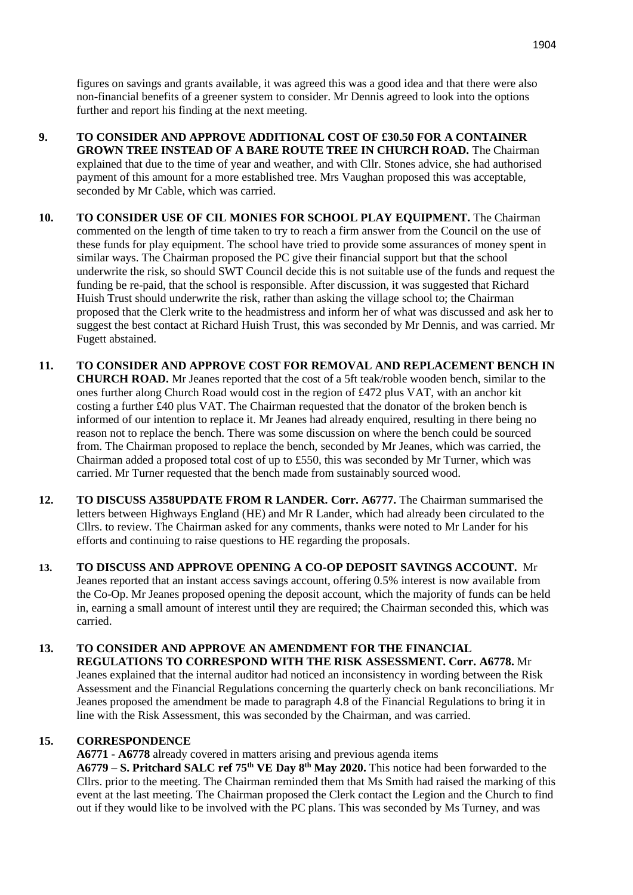figures on savings and grants available, it was agreed this was a good idea and that there were also non-financial benefits of a greener system to consider. Mr Dennis agreed to look into the options further and report his finding at the next meeting.

- **9. TO CONSIDER AND APPROVE ADDITIONAL COST OF £30.50 FOR A CONTAINER GROWN TREE INSTEAD OF A BARE ROUTE TREE IN CHURCH ROAD.** The Chairman explained that due to the time of year and weather, and with Cllr. Stones advice, she had authorised payment of this amount for a more established tree. Mrs Vaughan proposed this was acceptable, seconded by Mr Cable, which was carried.
- **10. TO CONSIDER USE OF CIL MONIES FOR SCHOOL PLAY EQUIPMENT.** The Chairman commented on the length of time taken to try to reach a firm answer from the Council on the use of these funds for play equipment. The school have tried to provide some assurances of money spent in similar ways. The Chairman proposed the PC give their financial support but that the school underwrite the risk, so should SWT Council decide this is not suitable use of the funds and request the funding be re-paid, that the school is responsible. After discussion, it was suggested that Richard Huish Trust should underwrite the risk, rather than asking the village school to; the Chairman proposed that the Clerk write to the headmistress and inform her of what was discussed and ask her to suggest the best contact at Richard Huish Trust, this was seconded by Mr Dennis, and was carried. Mr Fugett abstained.
- **11. TO CONSIDER AND APPROVE COST FOR REMOVAL AND REPLACEMENT BENCH IN CHURCH ROAD.** Mr Jeanes reported that the cost of a 5ft teak/roble wooden bench, similar to the ones further along Church Road would cost in the region of £472 plus VAT, with an anchor kit costing a further £40 plus VAT. The Chairman requested that the donator of the broken bench is informed of our intention to replace it. Mr Jeanes had already enquired, resulting in there being no reason not to replace the bench. There was some discussion on where the bench could be sourced from. The Chairman proposed to replace the bench, seconded by Mr Jeanes, which was carried, the Chairman added a proposed total cost of up to £550, this was seconded by Mr Turner, which was carried. Mr Turner requested that the bench made from sustainably sourced wood.
- **12. TO DISCUSS A358UPDATE FROM R LANDER. Corr. A6777.** The Chairman summarised the letters between Highways England (HE) and Mr R Lander, which had already been circulated to the Cllrs. to review. The Chairman asked for any comments, thanks were noted to Mr Lander for his efforts and continuing to raise questions to HE regarding the proposals.
- **13. TO DISCUSS AND APPROVE OPENING A CO-OP DEPOSIT SAVINGS ACCOUNT.** Mr Jeanes reported that an instant access savings account, offering 0.5% interest is now available from the Co-Op. Mr Jeanes proposed opening the deposit account, which the majority of funds can be held in, earning a small amount of interest until they are required; the Chairman seconded this, which was carried.

## **13. TO CONSIDER AND APPROVE AN AMENDMENT FOR THE FINANCIAL REGULATIONS TO CORRESPOND WITH THE RISK ASSESSMENT. Corr. A6778.** Mr Jeanes explained that the internal auditor had noticed an inconsistency in wording between the Risk Assessment and the Financial Regulations concerning the quarterly check on bank reconciliations. Mr Jeanes proposed the amendment be made to paragraph 4.8 of the Financial Regulations to bring it in line with the Risk Assessment, this was seconded by the Chairman, and was carried.

# **15. CORRESPONDENCE**

**A6771 - A6778** already covered in matters arising and previous agenda items **A6779 – S. Pritchard SALC ref 75th VE Day 8th May 2020.** This notice had been forwarded to the Cllrs. prior to the meeting. The Chairman reminded them that Ms Smith had raised the marking of this event at the last meeting. The Chairman proposed the Clerk contact the Legion and the Church to find out if they would like to be involved with the PC plans. This was seconded by Ms Turney, and was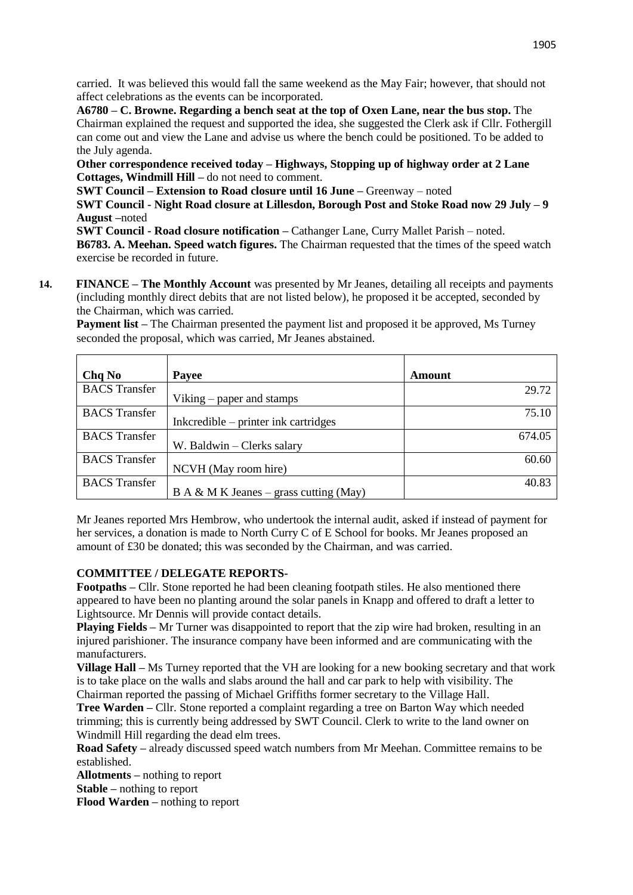carried. It was believed this would fall the same weekend as the May Fair; however, that should not affect celebrations as the events can be incorporated.

**A6780 – C. Browne. Regarding a bench seat at the top of Oxen Lane, near the bus stop.** The Chairman explained the request and supported the idea, she suggested the Clerk ask if Cllr. Fothergill can come out and view the Lane and advise us where the bench could be positioned. To be added to the July agenda.

**Other correspondence received today – Highways, Stopping up of highway order at 2 Lane Cottages, Windmill Hill –** do not need to comment.

**SWT Council – Extension to Road closure until 16 June –** Greenway – noted

**SWT Council - Night Road closure at Lillesdon, Borough Post and Stoke Road now 29 July – 9 August –**noted

**SWT Council - Road closure notification –** Cathanger Lane, Curry Mallet Parish – noted. **B6783. A. Meehan. Speed watch figures.** The Chairman requested that the times of the speed watch exercise be recorded in future.

**14. FINANCE – The Monthly Account** was presented by Mr Jeanes, detailing all receipts and payments (including monthly direct debits that are not listed below), he proposed it be accepted, seconded by the Chairman, which was carried.

**Payment list** – The Chairman presented the payment list and proposed it be approved, Ms Turney seconded the proposal, which was carried, Mr Jeanes abstained.

| Chq No               | Payee                                    | Amount |
|----------------------|------------------------------------------|--------|
| <b>BACS</b> Transfer | Viking $-$ paper and stamps              | 29.72  |
| <b>BACS</b> Transfer | Inkcredible – printer ink cartridges     | 75.10  |
| <b>BACS</b> Transfer | W. Baldwin $-$ Clerks salary             | 674.05 |
| <b>BACS</b> Transfer | NCVH (May room hire)                     | 60.60  |
| <b>BACS</b> Transfer | $B A & M K Jeanes - grass cutting (May)$ | 40.83  |

Mr Jeanes reported Mrs Hembrow, who undertook the internal audit, asked if instead of payment for her services, a donation is made to North Curry C of E School for books. Mr Jeanes proposed an amount of £30 be donated; this was seconded by the Chairman, and was carried.

# **COMMITTEE / DELEGATE REPORTS-**

**Footpaths –** Cllr. Stone reported he had been cleaning footpath stiles. He also mentioned there appeared to have been no planting around the solar panels in Knapp and offered to draft a letter to Lightsource. Mr Dennis will provide contact details.

**Playing Fields –** Mr Turner was disappointed to report that the zip wire had broken, resulting in an injured parishioner. The insurance company have been informed and are communicating with the manufacturers.

**Village Hall –** Ms Turney reported that the VH are looking for a new booking secretary and that work is to take place on the walls and slabs around the hall and car park to help with visibility. The Chairman reported the passing of Michael Griffiths former secretary to the Village Hall.

**Tree Warden –** Cllr. Stone reported a complaint regarding a tree on Barton Way which needed trimming; this is currently being addressed by SWT Council. Clerk to write to the land owner on Windmill Hill regarding the dead elm trees.

**Road Safety** – already discussed speed watch numbers from Mr Meehan. Committee remains to be established.

**Allotments –** nothing to report

**Stable –** nothing to report

**Flood Warden –** nothing to report